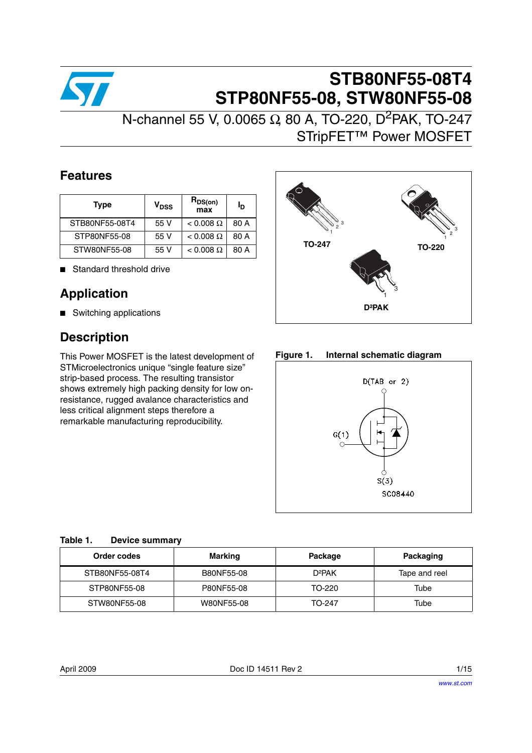

# **STB80NF55-08T4 STP80NF55-08, STW80NF55-08**

N-channel 55 V, 0.0065 Ω, 80 A, TO-220, D<sup>2</sup>PAK, TO-247 STripFET™ Power MOSFET

## **Features**

| <b>Type</b>    | V <sub>DSS</sub> | $R_{DS(on)}$<br>max | ıр   |
|----------------|------------------|---------------------|------|
| STB80NF55-08T4 | 55 V             | $< 0.008 \Omega$    | 80 A |
| STP80NF55-08   | 55 V             | $< 0.008 \Omega$    | 80 A |
| STW80NF55-08   | 55 V             | $< 0.008 \Omega$    | 80 A |

■ Standard threshold drive

## **Application**

■ Switching applications

## **Description**

This Power MOSFET is the latest development of STMicroelectronics unique "single feature size" strip-based process. The resulting transistor shows extremely high packing density for low onresistance, rugged avalance characteristics and less critical alignment steps therefore a remarkable manufacturing reproducibility.



**Figure 1. Internal schematic diagram**



## <span id="page-0-0"></span>**Table 1. Device summary**

| Order codes    | <b>Marking</b> | Package            | Packaging     |
|----------------|----------------|--------------------|---------------|
| STB80NF55-08T4 | B80NF55-08     | D <sup>2</sup> PAK | Tape and reel |
| STP80NF55-08   | P80NF55-08     | TO-220             | Tube          |
| STW80NF55-08   | W80NF55-08     | TO-247             | Tube          |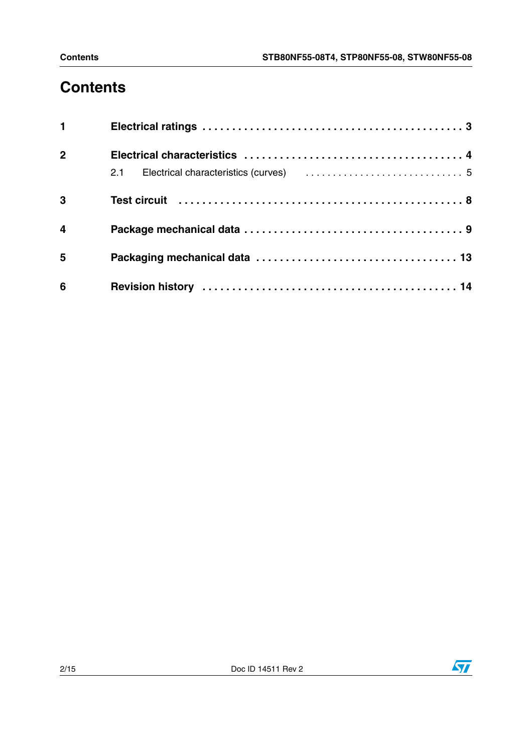# **Contents**

| $1 \quad \blacksquare$ |  |
|------------------------|--|
| $\overline{2}$         |  |
|                        |  |
| 3                      |  |
| $\overline{4}$         |  |
| 5                      |  |
| 6                      |  |

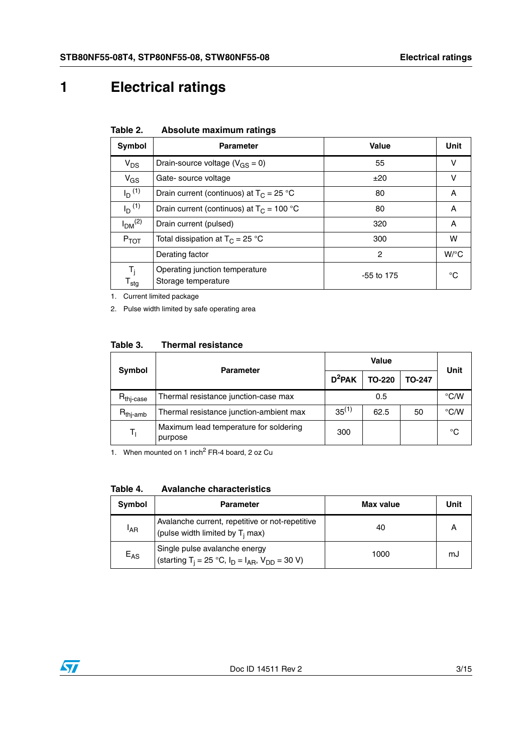# <span id="page-2-0"></span>**1 Electrical ratings**

 $I<sub>DM</sub><sup>(2)</sup>$ 

 $T_i$  $T_{\text{stg}}$ 

| .                    | 719991819 1118811118111 1 8111199          |              |      |
|----------------------|--------------------------------------------|--------------|------|
| Symbol               | <b>Parameter</b>                           | <b>Value</b> | Unit |
| $V_{DS}$             | Drain-source voltage ( $V_{GS} = 0$ )      | 55           |      |
| $V_{GS}$             | Gate-source voltage                        | ±20          |      |
| $I_{\text{D}}^{(1)}$ | Drain current (continuos) at $T_C = 25 °C$ | 80           |      |
|                      |                                            |              |      |

|  | Table 2. |  | Absolute maximum ratings |  |
|--|----------|--|--------------------------|--|
|--|----------|--|--------------------------|--|

1. Current limited package

2. Pulse width limited by safe operating area

Operating junction temperature

| Symbol                | <b>Parameter</b>                                  |            | Unit          |               |      |
|-----------------------|---------------------------------------------------|------------|---------------|---------------|------|
|                       |                                                   | $D^2$ PAK  | <b>TO-220</b> | <b>TO-247</b> |      |
| $R_{\text{thi-case}}$ | Thermal resistance junction-case max              | 0.5        |               |               | °C/W |
| $R_{\text{thi-amb}}$  | Thermal resistance junction-ambient max           | $35^{(1)}$ | 62.5          | 50            | °C/W |
| $T_1$                 | Maximum lead temperature for soldering<br>purpose | 300        |               |               | °C   |

 $I_D$ <sup>(1)</sup> Drain current (continuos) at  $T_C = 100 °C$  80 A

 $P_{TOT}$  Total dissipation at T<sub>C</sub> = 25 °C 100 M 300 W

Drain current (pulsed) and the state of the state of the state of the state of the state of the state of the state of the state of the state of the state of the state of the state of the state of the state of the state of

Derating factor and the contract of the contract of the contract of the contract of the contract of the contract of the contract of the contract of the contract of the contract of the contract of the contract of the contra

Operating junction temperature<br>Storage temperature  $\degree$ C

1. When mounted on 1 inch<sup>2</sup> FR-4 board, 2 oz Cu

**Table 4. Avalanche characteristics**

| Symbol   | <b>Parameter</b>                                                                                      | Max value | Unit |
|----------|-------------------------------------------------------------------------------------------------------|-----------|------|
| 'AR      | Avalanche current, repetitive or not-repetitive<br>(pulse width limited by T <sub>i</sub> max)        | 40        |      |
| $E_{AS}$ | Single pulse avalanche energy<br>(starting T <sub>i</sub> = 25 °C, $I_D = I_{AR}$ , $V_{DD} = 30 V$ ) | 1000      | mJ   |

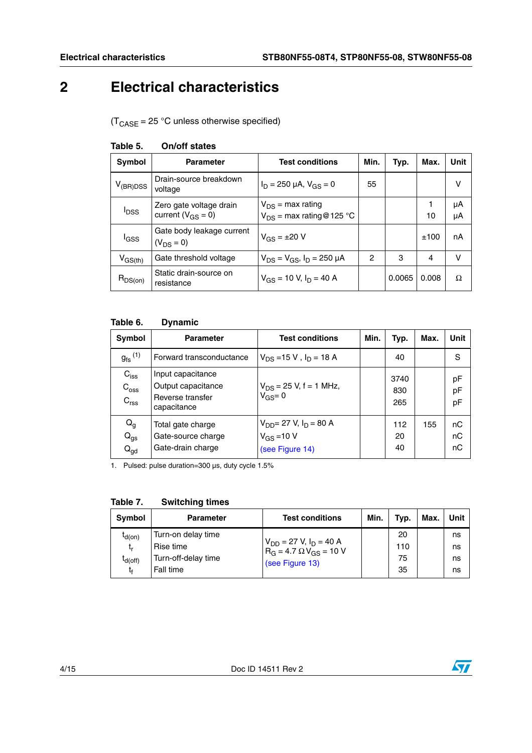# <span id="page-3-0"></span>**2 Electrical characteristics**

 $(T_{\text{CASE}} = 25 \text{ °C}$  unless otherwise specified)

| Symbol                  | <b>Parameter</b>                                    | <b>Test conditions</b>                                  | Min. | Typ.   | Max.    | Unit     |
|-------------------------|-----------------------------------------------------|---------------------------------------------------------|------|--------|---------|----------|
| $V_{(BR)DSS}$           | Drain-source breakdown<br>voltage                   | $I_D = 250 \mu A$ , $V_{GS} = 0$                        | 55   |        |         | v        |
| <b>I</b> <sub>DSS</sub> | Zero gate voltage drain<br>current ( $V_{GS} = 0$ ) | $V_{DS}$ = max rating<br>$V_{DS}$ = max rating @ 125 °C |      |        | 1<br>10 | μA<br>μA |
| l <sub>GSS</sub>        | Gate body leakage current<br>$(V_{DS} = 0)$         | $V_{GS} = \pm 20 V$                                     |      |        | ±100    | nA       |
| $V_{GS(th)}$            | Gate threshold voltage                              | $V_{DS} = V_{GS}$ , $I_D = 250 \mu A$                   | 2    | 3      | 4       | v        |
| $R_{DS(on)}$            | Static drain-source on<br>resistance                | $V_{GS}$ = 10 V, $I_D$ = 40 A                           |      | 0.0065 | 0.008   | Ω        |

#### **Table 5. On/off states**

### **Table 6. Dynamic**

| Symbol                                            | <b>Parameter</b>                                                           | <b>Test conditions</b>                                                       | Min. | Typ.               | Max. | Unit           |
|---------------------------------------------------|----------------------------------------------------------------------------|------------------------------------------------------------------------------|------|--------------------|------|----------------|
| $g_{\text{fs}}^{(1)}$                             | Forward transconductance                                                   | $V_{DS}$ =15 V, $I_D$ = 18 A                                                 |      | 40                 |      | S              |
| $C_{iss}$<br>$C_{\text{oss}}$<br>$C_{\text{rss}}$ | Input capacitance<br>Output capacitance<br>Reverse transfer<br>capacitance | $V_{DS}$ = 25 V, f = 1 MHz,<br>$V_{GS} = 0$                                  |      | 3740<br>830<br>265 |      | pF<br>pF<br>pF |
| $Q_g$<br>$Q_{gs}$<br>$Q_{gd}$                     | Total gate charge<br>Gate-source charge<br>Gate-drain charge               | $V_{DD}$ = 27 V, I <sub>D</sub> = 80 A<br>$V_{GS} = 10 V$<br>(see Figure 14) |      | 112<br>20<br>40    | 155  | nC<br>nC<br>nC |

1. Pulsed: pulse duration=300 µs, duty cycle 1.5%

| Symbol                            | Parameter                                              | <b>Test conditions</b>                                                               | Min. | Typ.            | Max. | Unit           |
|-----------------------------------|--------------------------------------------------------|--------------------------------------------------------------------------------------|------|-----------------|------|----------------|
| $I_{d(on)}$<br>t,<br>$I_{d(off)}$ | Turn-on delay time<br>Rise time<br>Turn-off-delay time | $V_{DD}$ = 27 V, $I_D$ = 40 A<br>$R_G = 4.7 \Omega V_{GS} = 10 V$<br>(see Figure 13) |      | 20<br>110<br>75 |      | ns<br>ns<br>ns |
| t٤                                | Fall time                                              |                                                                                      |      | 35              |      | ns             |

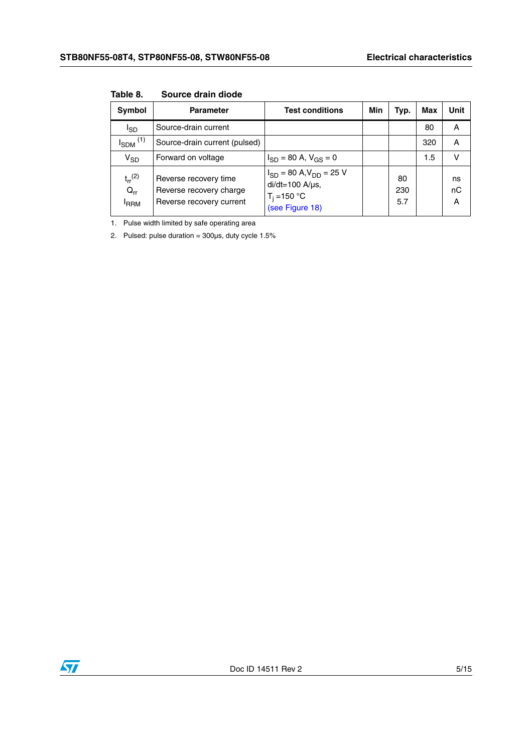| Symbol                                             | <b>Parameter</b>                                                             | <b>Test conditions</b>                                                                             | Min | Typ.             | Max | Unit          |
|----------------------------------------------------|------------------------------------------------------------------------------|----------------------------------------------------------------------------------------------------|-----|------------------|-----|---------------|
| l <sub>SD</sub>                                    | Source-drain current                                                         |                                                                                                    |     |                  | 80  | A             |
| $I_{SDM}$ <sup>(1)</sup>                           | Source-drain current (pulsed)                                                |                                                                                                    |     |                  | 320 | A             |
| $V_{SD}$                                           | Forward on voltage                                                           | $I_{SD}$ = 80 A, $V_{GS}$ = 0                                                                      |     |                  | 1.5 | v             |
| $t_{rr}$ <sup>(2)</sup><br>$Q_{rr}$<br><b>IRRM</b> | Reverse recovery time<br>Reverse recovery charge<br>Reverse recovery current | $I_{SD}$ = 80 A, $V_{DD}$ = 25 V<br>$di/dt = 100$ A/ $\mu$ s,<br>$T_i = 150 °C$<br>(see Figure 18) |     | 80<br>230<br>5.7 |     | ns<br>nC<br>A |

**Table 8. Source drain diode**

1. Pulse width limited by safe operating area

2. Pulsed: pulse duration =  $300\mu s$ , duty cycle  $1.5\%$ 

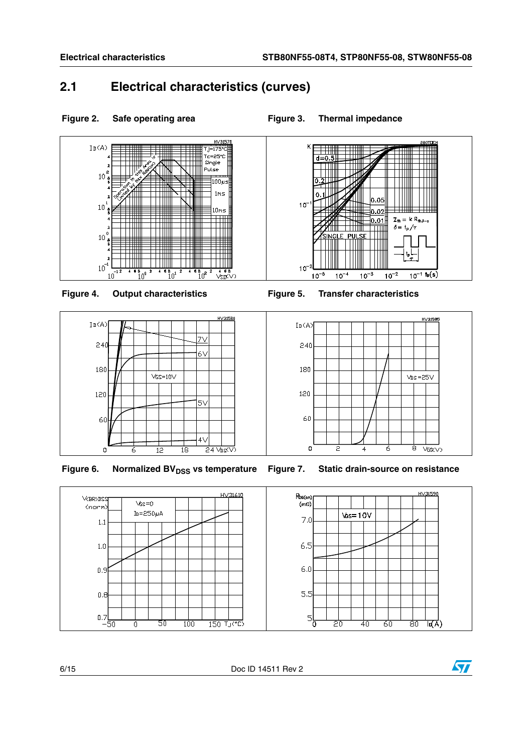## <span id="page-5-0"></span>**2.1 Electrical characteristics (curves)**

 $\sqrt{GS} = 10 \sqrt{9}$ 

 $\overline{12}$ 

 $\overline{6}$ 

120

60

 $\circ$ 







Figure 6. Normalized BV<sub>DSS</sub> vs temperature Figure 7. Static drain-source on resistance



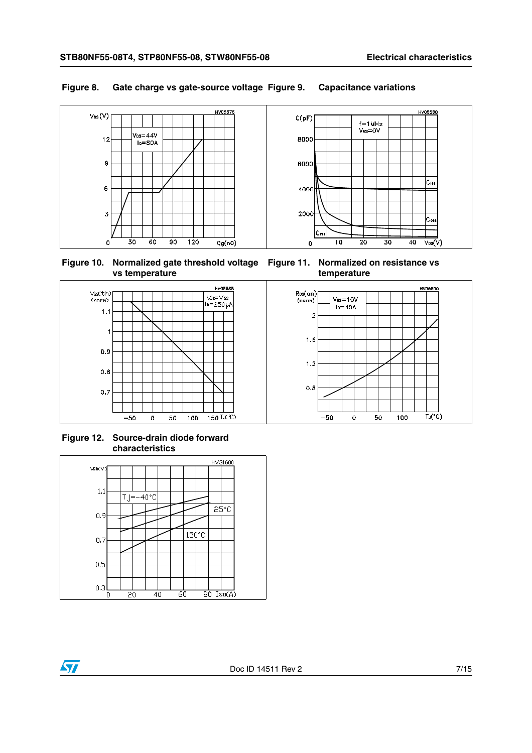#### **Figure 8. Gate charge vs gate-source voltage Figure 9. Capacitance variations**



**Figure 10. Normalized gate threshold voltage Figure 11. Normalized on resistance vs vs temperature**

**temperature**



**Figure 12. Source-drain diode forward characteristics**

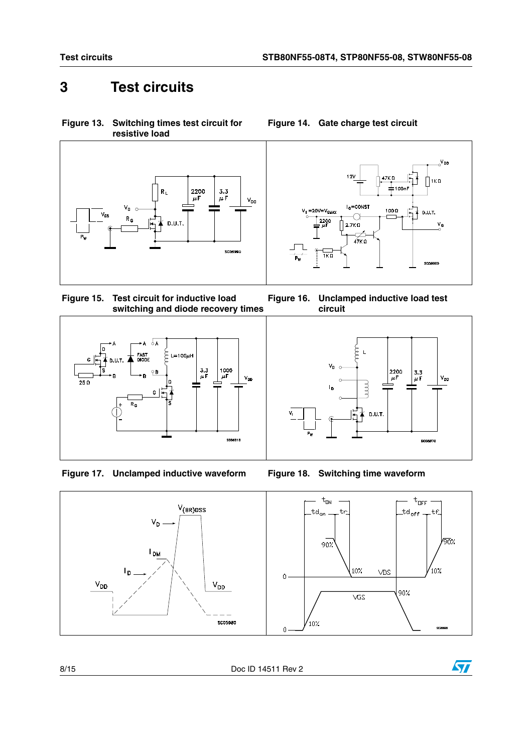<span id="page-7-1"></span>**Figure 14. Gate charge test circuit**

# <span id="page-7-0"></span>**3 Test circuits**

<span id="page-7-2"></span>**Figure 13. Switching times test circuit for resistive load**





**Figure 15. Test circuit for inductive load switching and diode recovery times Figure 16. Unclamped inductive load test** 







<span id="page-7-3"></span>



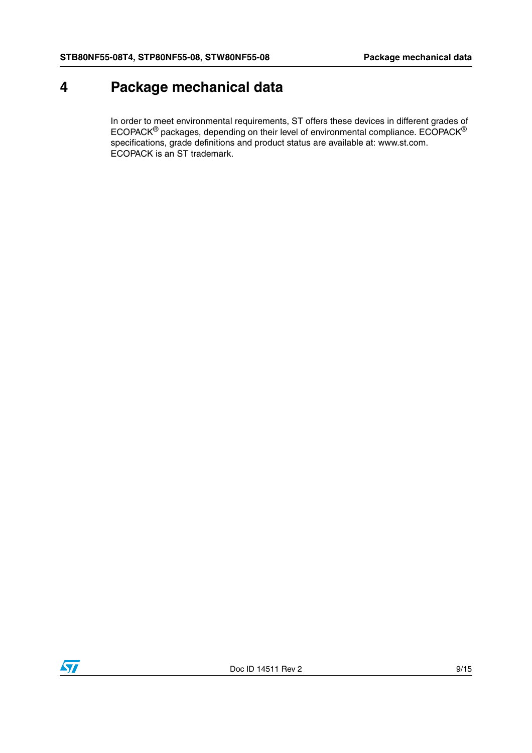# <span id="page-8-0"></span>**4 Package mechanical data**

In order to meet environmental requirements, ST offers these devices in different grades of ECOPACK® packages, depending on their level of environmental compliance. ECOPACK® specifications, grade definitions and product status are available at: www.st.com. ECOPACK is an ST trademark.

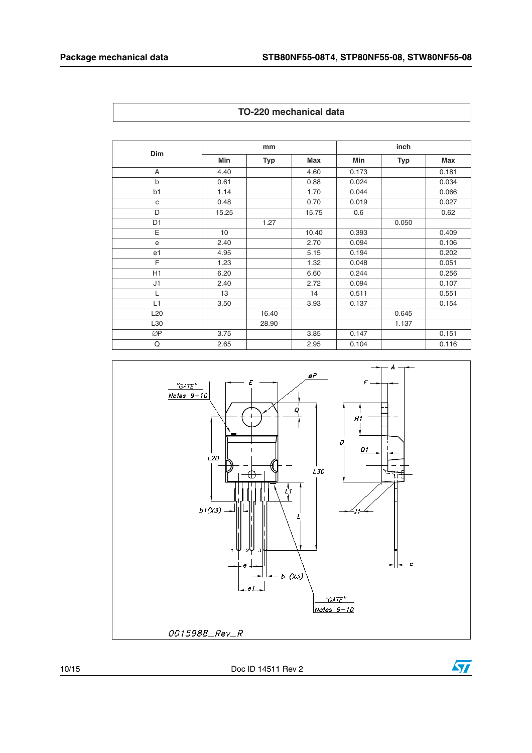| Dim            | mm    |       |            | inch  |       |            |
|----------------|-------|-------|------------|-------|-------|------------|
|                | Min   | Typ   | <b>Max</b> | Min   | Typ   | <b>Max</b> |
| A              | 4.40  |       | 4.60       | 0.173 |       | 0.181      |
| $\mathsf b$    | 0.61  |       | 0.88       | 0.024 |       | 0.034      |
| b1             | 1.14  |       | 1.70       | 0.044 |       | 0.066      |
| $\mathbf{C}$   | 0.48  |       | 0.70       | 0.019 |       | 0.027      |
| D              | 15.25 |       | 15.75      | 0.6   |       | 0.62       |
| D <sub>1</sub> |       | 1.27  |            |       | 0.050 |            |
| E              | 10    |       | 10.40      | 0.393 |       | 0.409      |
| e              | 2.40  |       | 2.70       | 0.094 |       | 0.106      |
| e <sub>1</sub> | 4.95  |       | 5.15       | 0.194 |       | 0.202      |
| F              | 1.23  |       | 1.32       | 0.048 |       | 0.051      |
| H1             | 6.20  |       | 6.60       | 0.244 |       | 0.256      |
| J1             | 2.40  |       | 2.72       | 0.094 |       | 0.107      |
| L              | 13    |       | 14         | 0.511 |       | 0.551      |
| L1             | 3.50  |       | 3.93       | 0.137 |       | 0.154      |
| L20            |       | 16.40 |            |       | 0.645 |            |
| L30            |       | 28.90 |            |       | 1.137 |            |
| ØP             | 3.75  |       | 3.85       | 0.147 |       | 0.151      |
| Q              | 2.65  |       | 2.95       | 0.104 |       | 0.116      |





10/15 Doc ID 14511 Rev 2

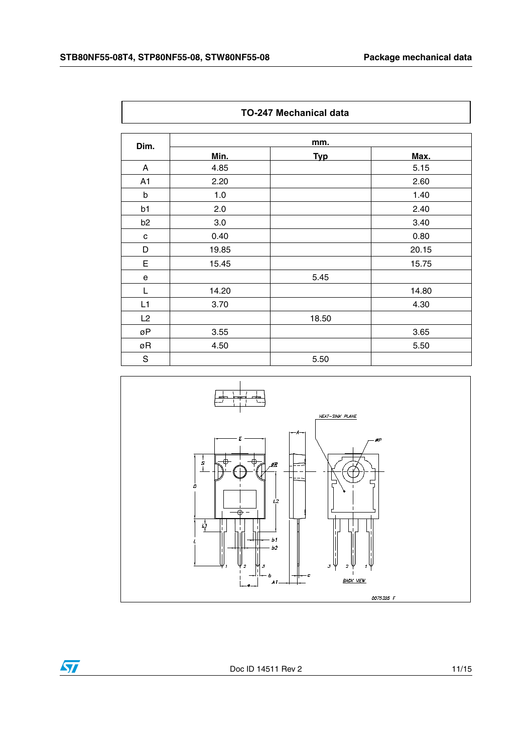J.

 $\overline{\Gamma}$ 

| <b>TO-247 Mechanical data</b> |       |            |       |  |  |  |
|-------------------------------|-------|------------|-------|--|--|--|
| Dim.                          | mm.   |            |       |  |  |  |
|                               | Min.  | <b>Typ</b> | Max.  |  |  |  |
| A                             | 4.85  |            | 5.15  |  |  |  |
| A <sub>1</sub>                | 2.20  |            | 2.60  |  |  |  |
| b                             | 1.0   |            | 1.40  |  |  |  |
| b1                            | 2.0   |            | 2.40  |  |  |  |
| b <sub>2</sub>                | 3.0   |            | 3.40  |  |  |  |
| c                             | 0.40  |            | 0.80  |  |  |  |
| D                             | 19.85 |            | 20.15 |  |  |  |
| E                             | 15.45 |            | 15.75 |  |  |  |
| e                             |       | 5.45       |       |  |  |  |
| L                             | 14.20 |            | 14.80 |  |  |  |
| L1                            | 3.70  |            | 4.30  |  |  |  |
| L2                            |       | 18.50      |       |  |  |  |
| øΡ                            | 3.55  |            | 3.65  |  |  |  |
| øR                            | 4.50  |            | 5.50  |  |  |  |
| S                             |       | 5.50       |       |  |  |  |



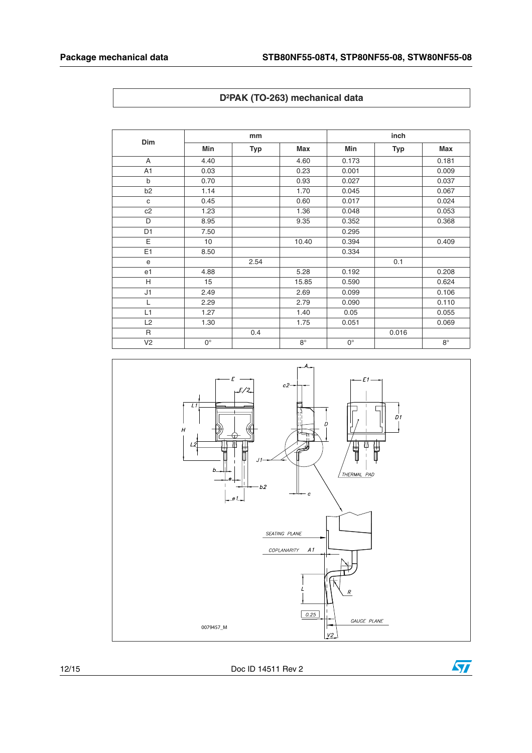| D <sup>2</sup> PAK (TO-263) mechanical data |  |  |
|---------------------------------------------|--|--|
|---------------------------------------------|--|--|

| Dim            |                 | mm         |           |             | inch       |            |  |
|----------------|-----------------|------------|-----------|-------------|------------|------------|--|
|                | Min             | <b>Typ</b> | Max       | Min         | <b>Typ</b> | <b>Max</b> |  |
| A              | 4.40            |            | 4.60      | 0.173       |            | 0.181      |  |
| A <sub>1</sub> | 0.03            |            | 0.23      | 0.001       |            | 0.009      |  |
| $\mathsf b$    | 0.70            |            | 0.93      | 0.027       |            | 0.037      |  |
| b <sub>2</sub> | 1.14            |            | 1.70      | 0.045       |            | 0.067      |  |
| C              | 0.45            |            | 0.60      | 0.017       |            | 0.024      |  |
| c2             | 1.23            |            | 1.36      | 0.048       |            | 0.053      |  |
| D              | 8.95            |            | 9.35      | 0.352       |            | 0.368      |  |
| D <sub>1</sub> | 7.50            |            |           | 0.295       |            |            |  |
| E              | 10 <sup>1</sup> |            | 10.40     | 0.394       |            | 0.409      |  |
| E1             | 8.50            |            |           | 0.334       |            |            |  |
| e              |                 | 2.54       |           |             | 0.1        |            |  |
| e <sub>1</sub> | 4.88            |            | 5.28      | 0.192       |            | 0.208      |  |
| H              | 15              |            | 15.85     | 0.590       |            | 0.624      |  |
| J1             | 2.49            |            | 2.69      | 0.099       |            | 0.106      |  |
| L              | 2.29            |            | 2.79      | 0.090       |            | 0.110      |  |
| L1             | 1.27            |            | 1.40      | 0.05        |            | 0.055      |  |
| L2             | 1.30            |            | 1.75      | 0.051       |            | 0.069      |  |
| R              |                 | 0.4        |           |             | 0.016      |            |  |
| V <sub>2</sub> | $0^{\circ}$     |            | $8^\circ$ | $0^{\circ}$ |            | $8^\circ$  |  |



12/15 Doc ID 14511 Rev 2

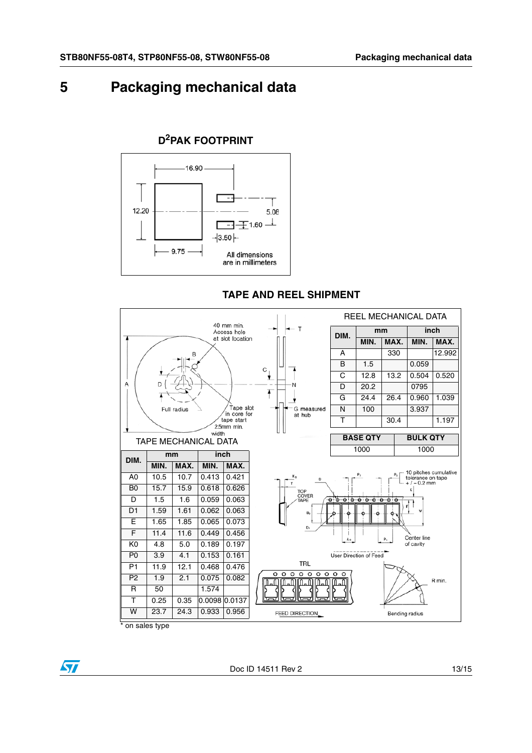# <span id="page-12-0"></span>**5 Packaging mechanical data**

## **D2PAK FOOTPRINT**



**TAPE AND REEL SHIPMENT**



on sales type

 $\bm{\varPi}$ 

Doc ID 14511 Rev 2 13/15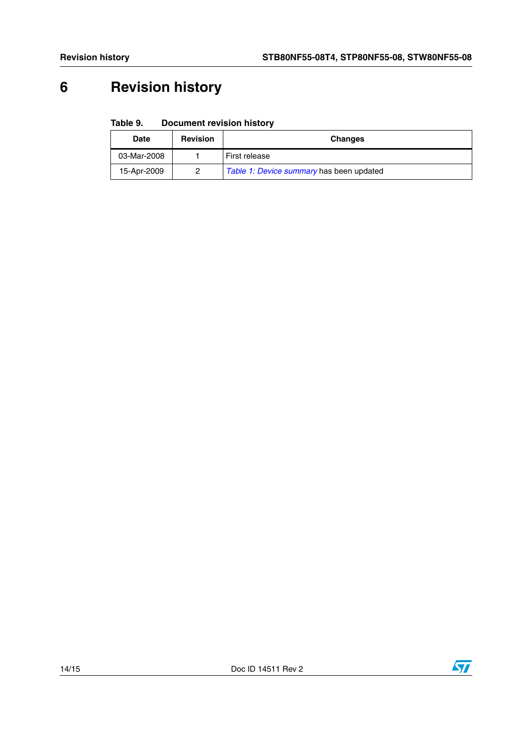# <span id="page-13-0"></span>**6 Revision history**

#### Table 9. **Document revision history**

| <b>Date</b> | <b>Revision</b> | <b>Changes</b>                           |  |
|-------------|-----------------|------------------------------------------|--|
| 03-Mar-2008 |                 | First release                            |  |
| 15-Apr-2009 |                 | Table 1: Device summary has been updated |  |